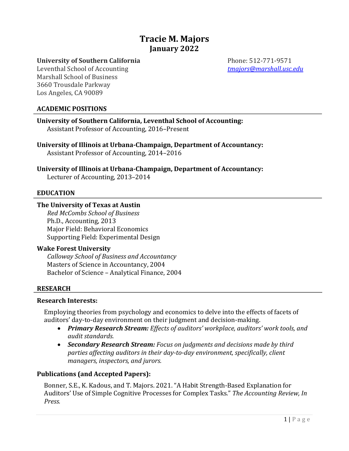# **Tracie M. Majors January 2022**

**University of Southern California** Phone: 512-771-9571

#### Leventhal School of Accounting *<u>tmajors@marshall.usc.edu</u>* Marshall School of Business 3660 Trousdale Parkway Los Angeles, CA 90089

## **ACADEMIC POSITIONS**

**University of Southern California, Leventhal School of Accounting:** Assistant Professor of Accounting, 2016–Present

University of Illinois at Urbana-Champaign, Department of Accountancy: Assistant Professor of Accounting, 2014–2016

# University of Illinois at Urbana-Champaign, Department of Accountancy:

Lecturer of Accounting, 2013-2014

## **EDUCATION**

#### **The University of Texas at Austin**

*Red McCombs School of Business* Ph.D., Accounting, 2013 Major Field: Behavioral Economics Supporting Field: Experimental Design

#### **Wake Forest University**

*Calloway School of Business and Accountancy* Masters of Science in Accountancy, 2004 Bachelor of Science - Analytical Finance, 2004

## **RESEARCH**

# **Research Interests:**

Employing theories from psychology and economics to delve into the effects of facets of auditors' day-to-day environment on their judgment and decision-making.

- Primary Research Stream: Effects of auditors' workplace, auditors' work tools, and *audit standards.*
- **Secondary Research Stream:** Focus on judgments and decisions made by third parties affecting auditors in their day-to-day environment, specifically, client *managers, inspectors, and jurors.*

## **Publications (and Accepted Papers):**

Bonner, S.E., K. Kadous, and T. Majors. 2021. "A Habit Strength-Based Explanation for Auditors' Use of Simple Cognitive Processes for Complex Tasks." The Accounting Review, In *Press.*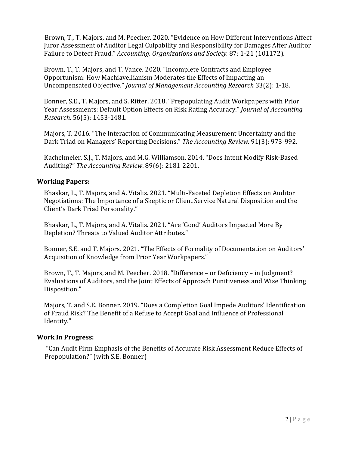Brown, T., T. Majors, and M. Peecher. 2020. "Evidence on How Different Interventions Affect Juror Assessment of Auditor Legal Culpability and Responsibility for Damages After Auditor Failure to Detect Fraud." *Accounting, Organizations and Society.* 87: 1-21 (101172).

Brown, T., T. Majors, and T. Vance. 2020. "Incomplete Contracts and Employee Opportunism: How Machiavellianism Moderates the Effects of Impacting an Uncompensated Objective." *Journal of Management Accounting Research* 33(2): 1-18.

Bonner, S.E., T. Majors, and S. Ritter. 2018. "Prepopulating Audit Workpapers with Prior Year Assessments: Default Option Effects on Risk Rating Accuracy." *Journal of Accounting Research.* 56(5): 1453-1481.

Majors, T. 2016. "The Interaction of Communicating Measurement Uncertainty and the Dark Triad on Managers' Reporting Decisions." The Accounting Review. 91(3): 973-992.

Kachelmeier, S.J., T. Majors, and M.G. Williamson. 2014. "Does Intent Modify Risk-Based Auditing?" The Accounting Review. 89(6): 2181-2201.

## **Working Papers:**

Bhaskar, L., T. Majors, and A. Vitalis. 2021. "Multi-Faceted Depletion Effects on Auditor Negotiations: The Importance of a Skeptic or Client Service Natural Disposition and the Client's Dark Triad Personality."

Bhaskar, L., T. Majors, and A. Vitalis. 2021. "Are 'Good' Auditors Impacted More By Depletion? Threats to Valued Auditor Attributes."

Bonner, S.E. and T. Majors. 2021. "The Effects of Formality of Documentation on Auditors' Acquisition of Knowledge from Prior Year Workpapers."

Brown, T., T. Majors, and M. Peecher. 2018. "Difference – or Deficiency – in Judgment? Evaluations of Auditors, and the Joint Effects of Approach Punitiveness and Wise Thinking Disposition." 

Majors, T. and S.E. Bonner. 2019. "Does a Completion Goal Impede Auditors' Identification of Fraud Risk? The Benefit of a Refuse to Accept Goal and Influence of Professional Identity." 

## **Work In Progress:**

"Can Audit Firm Emphasis of the Benefits of Accurate Risk Assessment Reduce Effects of Prepopulation?" (with S.E. Bonner)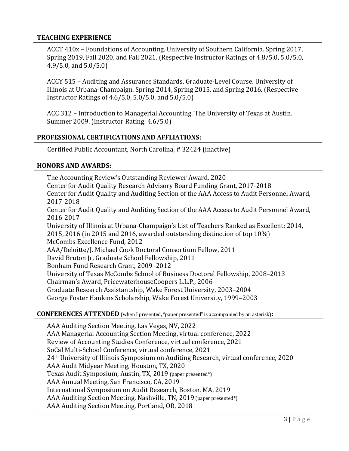#### **TEACHING EXPERIENCE**

ACCT 410x - Foundations of Accounting. University of Southern California. Spring 2017, Spring 2019, Fall  $2020$ , and Fall  $2021$ . (Respective Instructor Ratings of  $4.8/5.0$ ,  $5.0/5.0$ ,  $4.9/5.0$ , and  $5.0/5.0$ )

ACCY 515 - Auditing and Assurance Standards, Graduate-Level Course. University of Illinois at Urbana-Champaign. Spring 2014, Spring 2015, and Spring 2016. (Respective Instructor Ratings of  $4.6/5.0$ ,  $5.0/5.0$ , and  $5.0/5.0$ )

ACC 312 – Introduction to Managerial Accounting. The University of Texas at Austin. Summer 2009. (Instructor Rating: 4.6/5.0)

#### **PROFESSIONAL CERTIFICATIONS AND AFFLIATIONS:**

Certified Public Accountant, North Carolina, # 32424 (inactive)

#### **HONORS AND AWARDS:**

The Accounting Review's Outstanding Reviewer Award, 2020 Center for Audit Quality Research Advisory Board Funding Grant, 2017-2018 Center for Audit Quality and Auditing Section of the AAA Access to Audit Personnel Award, 2017-2018 Center for Audit Quality and Auditing Section of the AAA Access to Audit Personnel Award, 2016-2017 University of Illinois at Urbana-Champaign's List of Teachers Ranked as Excellent: 2014, 2015, 2016 (in 2015 and 2016, awarded outstanding distinction of top  $10\%$ ) McCombs Excellence Fund, 2012 AAA/Deloitte/J. Michael Cook Doctoral Consortium Fellow, 2011 David Bruton Jr. Graduate School Fellowship, 2011 Bonham Fund Research Grant, 2009-2012 University of Texas McCombs School of Business Doctoral Fellowship, 2008–2013 Chairman's Award, PricewaterhouseCoopers L.L.P., 2006 Graduate Research Assistantship, Wake Forest University, 2003-2004 George Foster Hankins Scholarship, Wake Forest University, 1999-2003

#### **CONFERENCES ATTENDED** (when I presented, "paper presented" is accompanied by an asterisk):

AAA Auditing Section Meeting, Las Vegas, NV, 2022 AAA Managerial Accounting Section Meeting, virtual conference, 2022 Review of Accounting Studies Conference, virtual conference, 2021 SoCal Multi-School Conference, virtual conference, 2021 24<sup>th</sup> University of Illinois Symposium on Auditing Research, virtual conference, 2020 AAA Audit Midyear Meeting, Houston, TX, 2020 Texas Audit Symposium, Austin, TX, 2019 (paper presented\*) AAA Annual Meeting, San Francisco, CA, 2019 International Symposium on Audit Research, Boston, MA, 2019 AAA Auditing Section Meeting, Nashville, TN, 2019 (paper presented\*) AAA Auditing Section Meeting, Portland, OR, 2018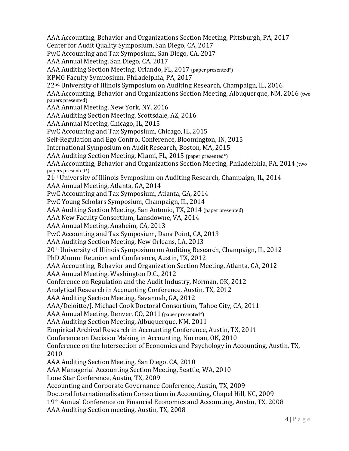AAA Accounting, Behavior and Organizations Section Meeting, Pittsburgh, PA, 2017 Center for Audit Quality Symposium, San Diego, CA, 2017 PwC Accounting and Tax Symposium, San Diego, CA, 2017 AAA Annual Meeting, San Diego, CA, 2017 AAA Auditing Section Meeting, Orlando, FL, 2017 (paper presented\*) KPMG Faculty Symposium, Philadelphia, PA, 2017  $22<sup>nd</sup>$  University of Illinois Symposium on Auditing Research, Champaign, IL, 2016 AAA Accounting, Behavior and Organizations Section Meeting, Albuquerque, NM, 2016 (two papers presented) AAA Annual Meeting, New York, NY, 2016 AAA Auditing Section Meeting, Scottsdale, AZ, 2016 AAA Annual Meeting, Chicago, IL, 2015 PwC Accounting and Tax Symposium, Chicago, IL, 2015 Self-Regulation and Ego Control Conference, Bloomington, IN, 2015 International Symposium on Audit Research, Boston, MA, 2015 AAA Auditing Section Meeting, Miami, FL, 2015 (paper presented\*) AAA Accounting, Behavior and Organizations Section Meeting, Philadelphia, PA, 2014 (two papers presented\*) 21<sup>st</sup> University of Illinois Symposium on Auditing Research, Champaign, IL, 2014 AAA Annual Meeting, Atlanta, GA, 2014 PwC Accounting and Tax Symposium, Atlanta, GA, 2014 PwC Young Scholars Symposium, Champaign, IL, 2014 AAA Auditing Section Meeting, San Antonio, TX, 2014 (paper presented) AAA New Faculty Consortium, Lansdowne, VA, 2014 AAA Annual Meeting, Anaheim, CA, 2013 PwC Accounting and Tax Symposium, Dana Point, CA, 2013 AAA Auditing Section Meeting, New Orleans, LA, 2013 20<sup>th</sup> University of Illinois Symposium on Auditing Research, Champaign, IL, 2012 PhD Alumni Reunion and Conference, Austin, TX, 2012 AAA Accounting, Behavior and Organization Section Meeting, Atlanta, GA, 2012 AAA Annual Meeting, Washington D.C., 2012 Conference on Regulation and the Audit Industry, Norman, OK, 2012 Analytical Research in Accounting Conference, Austin, TX, 2012 AAA Auditing Section Meeting, Savannah, GA, 2012 AAA/Deloitte/J. Michael Cook Doctoral Consortium, Tahoe City, CA, 2011 AAA Annual Meeting, Denver, CO, 2011 (paper presented\*) AAA Auditing Section Meeting, Albuquerque, NM, 2011 Empirical Archival Research in Accounting Conference, Austin, TX, 2011 Conference on Decision Making in Accounting, Norman, OK, 2010 Conference on the Intersection of Economics and Psychology in Accounting, Austin, TX, 2010 AAA Auditing Section Meeting, San Diego, CA, 2010 AAA Managerial Accounting Section Meeting, Seattle, WA, 2010 Lone Star Conference, Austin, TX, 2009 Accounting and Corporate Governance Conference, Austin, TX, 2009 Doctoral Internationalization Consortium in Accounting, Chapel Hill, NC, 2009 19th Annual Conference on Financial Economics and Accounting, Austin, TX, 2008 AAA Auditing Section meeting, Austin, TX, 2008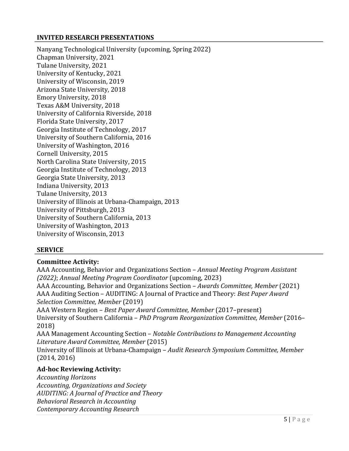## **INVITED RESEARCH PRESENTATIONS**

Nanyang Technological University (upcoming, Spring 2022) Chapman University, 2021 Tulane University, 2021 University of Kentucky, 2021 University of Wisconsin, 2019 Arizona State University, 2018 Emory University, 2018 Texas A&M University, 2018 University of California Riverside, 2018 Florida State University, 2017 Georgia Institute of Technology, 2017 University of Southern California, 2016 University of Washington, 2016 Cornell University, 2015 North Carolina State University, 2015 Georgia Institute of Technology, 2013 Georgia State University, 2013 Indiana University, 2013 Tulane University, 2013 University of Illinois at Urbana-Champaign, 2013 University of Pittsburgh, 2013 University of Southern California, 2013 University of Washington, 2013 University of Wisconsin, 2013

## **SERVICE**

## **Committee Activity:**

AAA Accounting, Behavior and Organizations Section – *Annual Meeting Program Assistant (2022)*; *Annual Meeting Program Coordinator* (upcoming, 2023) AAA Accounting, Behavior and Organizations Section - Awards Committee, Member (2021) AAA Auditing Section - AUDITING: A Journal of Practice and Theory: *Best Paper Award Selection Committee, Member* (2019) AAA Western Region – *Best Paper Award Committee, Member* (2017–present) University of Southern California - *PhD Program Reorganization Committee, Member* (2016– 2018) AAA Management Accounting Section – *Notable Contributions to Management Accounting Literature Award Committee, Member* (2015) University of Illinois at Urbana-Champaign - Audit Research Symposium Committee, Member  $(2014, 2016)$ 

## Ad-hoc Reviewing Activity:

*Accounting Horizons Accounting, Organizations and Society AUDITING: A Journal of Practice and Theory Behavioral Research in Accounting Contemporary Accounting Research*